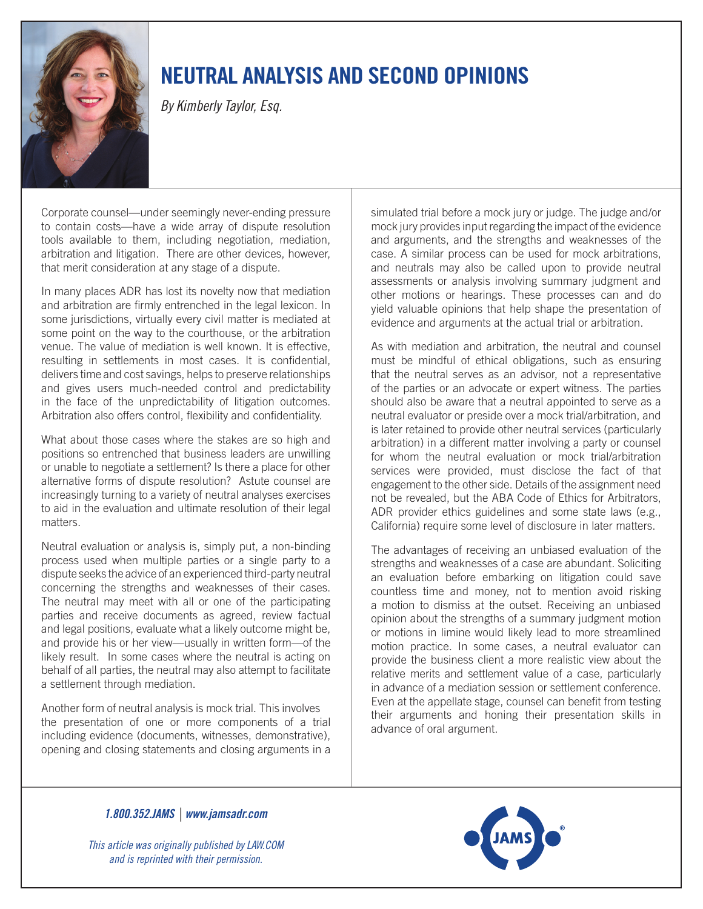

## neutral analysis and second opinions

*By Kimberly Taylor, Esq.*

Corporate counsel—under seemingly never-ending pressure to contain costs—have a wide array of dispute resolution tools available to them, including negotiation, mediation, arbitration and litigation. There are other devices, however, that merit consideration at any stage of a dispute.

In many places ADR has lost its novelty now that mediation and arbitration are firmly entrenched in the legal lexicon. In some jurisdictions, virtually every civil matter is mediated at some point on the way to the courthouse, or the arbitration venue. The value of mediation is well known. It is effective, resulting in settlements in most cases. It is confidential, delivers time and cost savings, helps to preserve relationships and gives users much-needed control and predictability in the face of the unpredictability of litigation outcomes. Arbitration also offers control, flexibility and confidentiality.

What about those cases where the stakes are so high and positions so entrenched that business leaders are unwilling or unable to negotiate a settlement? Is there a place for other alternative forms of dispute resolution? Astute counsel are increasingly turning to a variety of neutral analyses exercises to aid in the evaluation and ultimate resolution of their legal matters.

Neutral evaluation or analysis is, simply put, a non-binding process used when multiple parties or a single party to a dispute seeks the advice of an experienced third-party neutral concerning the strengths and weaknesses of their cases. The neutral may meet with all or one of the participating parties and receive documents as agreed, review factual and legal positions, evaluate what a likely outcome might be, and provide his or her view—usually in written form—of the likely result. In some cases where the neutral is acting on behalf of all parties, the neutral may also attempt to facilitate a settlement through mediation.

Another form of neutral analysis is mock trial. This involves the presentation of one or more components of a trial including evidence (documents, witnesses, demonstrative), opening and closing statements and closing arguments in a

simulated trial before a mock jury or judge. The judge and/or mock jury provides input regarding the impact of the evidence and arguments, and the strengths and weaknesses of the case. A similar process can be used for mock arbitrations, and neutrals may also be called upon to provide neutral assessments or analysis involving summary judgment and other motions or hearings. These processes can and do yield valuable opinions that help shape the presentation of evidence and arguments at the actual trial or arbitration.

As with mediation and arbitration, the neutral and counsel must be mindful of ethical obligations, such as ensuring that the neutral serves as an advisor, not a representative of the parties or an advocate or expert witness. The parties should also be aware that a neutral appointed to serve as a neutral evaluator or preside over a mock trial/arbitration, and is later retained to provide other neutral services (particularly arbitration) in a different matter involving a party or counsel for whom the neutral evaluation or mock trial/arbitration services were provided, must disclose the fact of that engagement to the other side. Details of the assignment need not be revealed, but the ABA Code of Ethics for Arbitrators, ADR provider ethics guidelines and some state laws (e.g., California) require some level of disclosure in later matters.

The advantages of receiving an unbiased evaluation of the strengths and weaknesses of a case are abundant. Soliciting an evaluation before embarking on litigation could save countless time and money, not to mention avoid risking a motion to dismiss at the outset. Receiving an unbiased opinion about the strengths of a summary judgment motion or motions in limine would likely lead to more streamlined motion practice. In some cases, a neutral evaluator can provide the business client a more realistic view about the relative merits and settlement value of a case, particularly in advance of a mediation session or settlement conference. Even at the appellate stage, counsel can benefit from testing their arguments and honing their presentation skills in advance of oral argument.

*1.800.352.JAMS | www.jamsadr.com* 

*This article was originally published by LAW.COM and is reprinted with their permission.*